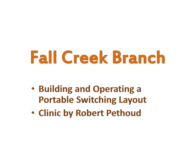# **Fall Creek Branch**

- Building and Operating a **Portable Switching Layout**
- Clinic by Robert Pethoud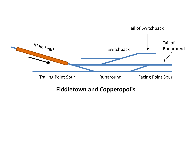

#### **Fiddletown and Copperopolis**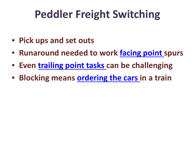## **Peddler Freight Switching**

- **Pick ups and set outs**
- **Runaround needed to work facing point spurs**
- **Even trailing point tasks can be challenging**
- **Blocking means ordering the cars in a train**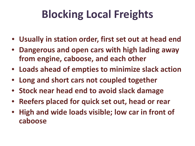## **Blocking Local Freights**

- **Usually in station order, first set out at head end**
- **Dangerous and open cars with high lading away from engine, caboose, and each other**
- **Loads ahead of empties to minimize slack action**
- **Long and short cars not coupled together**
- **Stock near head end to avoid slack damage**
- **Reefers placed for quick set out, head or rear**
- **High and wide loads visible; low car in front of caboose**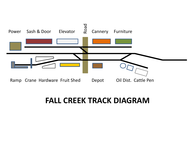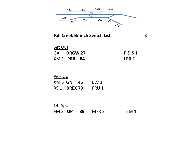

**Fall Creek Branch Switch List 3**

| Set Out |                    |         |
|---------|--------------------|---------|
|         | GA DRGW 27         | F & S 1 |
|         | <b>XM 1 PRR 84</b> | LBR 1   |

| Pick Up             |  |  |       |  |  |  |  |  |
|---------------------|--|--|-------|--|--|--|--|--|
| XM 3 GN 46          |  |  | FLV 1 |  |  |  |  |  |
| <b>RS 1 BREX 70</b> |  |  | FRU 1 |  |  |  |  |  |

| Off Spot |  |  |                  |                  |  |  |  |  |
|----------|--|--|------------------|------------------|--|--|--|--|
|          |  |  | FM 2 UP 89 MFR 2 | TEM <sub>1</sub> |  |  |  |  |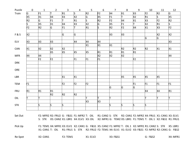| Puzzle         | $\mathbf 0$    | $\mathbf 1$    | $\overline{2}$ | $\overline{3}$ | $\overline{4}$ | 5              | $\boldsymbol{6}$ | $\overline{7}$ | 8              | 9              | 10             | 11             | $12\,$         |
|----------------|----------------|----------------|----------------|----------------|----------------|----------------|------------------|----------------|----------------|----------------|----------------|----------------|----------------|
| Train          | G              | F <sub>1</sub> | lT.            | R1             | S,             | R <sub>2</sub> | F <sub>2</sub>   | X4             | $x_1$          | X3             | F <sub>2</sub> | R <sub>2</sub> | G              |
|                | X5             | X1             | X4             | X3             | X2             | G              | X5               | F <sub>1</sub> | T              | X2             | R1             | S              | X5             |
|                | R2             | G              | F1             | lT.            | R1             | $\overline{s}$ | R <sub>2</sub>   | F2             | X4             | X1             | X3             | F <sub>2</sub> | R2             |
|                | S              | X5             | X1             | X4             | X3             | X2             | G                | X5             | F <sub>1</sub> | ΙT             | X2             | R1             | ls.            |
|                | F <sub>2</sub> | R2             | G              | F1             |                | R1             | ls.              | R2             | F <sub>2</sub> | X4             | X1             | X <sub>3</sub> | F2             |
| <b>F&amp;S</b> | X2             |                |                | G.             | G              |                |                  | X3             | X3             |                |                | X <sub>2</sub> | X2             |
|                |                |                |                |                |                |                |                  |                |                |                | G              | G              |                |
| ELV            | X3             | X3             | X3             |                | X4             | X4             | Χ4               |                |                |                |                |                | X <sub>3</sub> |
|                |                |                |                |                |                | X1             | X1               | X1             |                |                |                |                |                |
| CAN            | X1             | X2             | X2             | X2             |                |                |                  |                | R2             | R2             | R2             | X1             | $x_1$          |
|                |                |                | X5             | X5             | X5             | X5             | R1               | R1             | R1             | R1             |                |                |                |
| <b>MFR</b>     | Χ4             | X4             |                |                |                |                | X2               | X2             | X2             |                |                |                | X4             |
|                |                | F <sub>2</sub> | F <sub>2</sub> |                | F1             | F <sub>1</sub> | F <sub>1</sub>   |                |                | F <sub>2</sub> |                |                |                |
| <b>DRK</b>     |                |                |                |                |                |                |                  |                |                |                |                |                |                |
| ORE            |                |                |                |                |                |                |                  |                |                |                |                |                |                |
| LBR            |                |                |                | X1             | $\mathsf{x}_1$ |                |                  |                | X5             | X5             | X5             | X5             |                |
|                |                |                |                |                |                |                |                  |                |                |                |                |                |                |
| <b>TEM</b>     | F1             |                |                | F <sub>2</sub> | F <sub>2</sub> | F <sub>2</sub> |                  |                |                | F <sub>1</sub> | F1             | F1             | F1             |
|                |                |                |                |                |                |                |                  | G              | G              | G              |                |                |                |
| <b>FRU</b>     | R1             | R1             | R1             |                |                |                |                  |                |                |                | X4             | X4             | R1             |
|                |                |                | R <sub>2</sub> | R <sub>2</sub> | R2             |                |                  |                |                |                |                |                |                |
| OIL            | т              | π              |                |                |                | lΤ             | ۳.               | lΤ             |                |                | π              | lΤ             | Ιτ             |
|                |                |                |                |                |                | X3             | X3               |                |                |                |                |                |                |
| <b>STK</b>     |                | S,             | ls.            | ls.            |                |                |                  | S.             | S              | ls.            | ls.            |                |                |
|                |                |                |                |                |                |                |                  |                |                |                |                |                |                |

Set Out F2: MFR2 R2: FRU2 G: F&S1 F1: MFR2 T: OIL R1: CAN2 S: STK R2: CAN1 F2: MFR2 X4: FRU1 X1: CAN1 X3: ELV1 S: STK X5: CAN2 X1: LBR1 X4: ELV1 X3: OIL X2: MFR1 G: TEM2 X5: LBR1 F1: TEM1 T: OIL 1 X2: F&S1 R1: FRU1

Pick Up F1: TEM1 X4: MFR1 X3: ELV1 X2: CAN1 G: F&S1 X5: CAN2 F1: MFR2 T: OIL 1 X2: MFR1 R1: CAN2 S: STK X5: LBR1 X1: CAN1 T: OIL R1: FRU1 S: STK R2: FRU2 F2: TEM1 X4: ELV1 X1: ELV2 X3: F&S1 F2: MFR2 R2: CAN1 G: F&S2

Re-Spot X2: CAN1 F2: TEM1 X1: ELV2 X3: F&S1 G: F&S2 X4: MFR1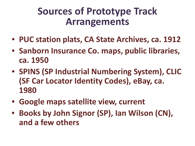## **Sources of Prototype Track Arrangements**

- **PUC station plats, CA State Archives, ca. 1912**
- **Sanborn Insurance Co. maps, public libraries, ca. 1950**
- **SPINS (SP Industrial Numbering System), CLIC (SF Car Locator Identity Codes), eBay, ca. 1980**
- **Google maps satellite view, current**
- **Books by John Signor (SP), Ian Wilson (CN), and a few others**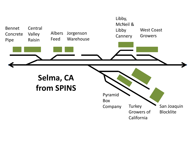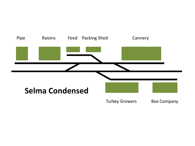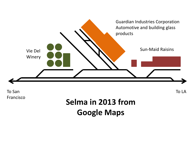

Francisco

### **Selma in 2013 from Google Maps**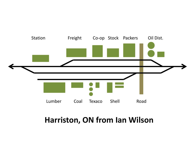

#### **Harriston, ON from Ian Wilson**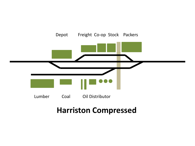

#### **Harriston Compressed**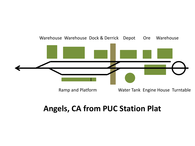

#### **Angels, CA from PUC Station Plat**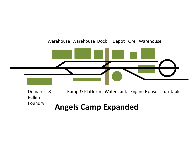

 Ramp & Platform Water Tank Engine House Turntable **Angels Camp Expanded** Demarest & Fullen Foundry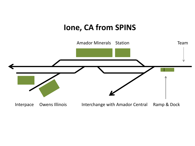#### **Ione, CA from SPINS**

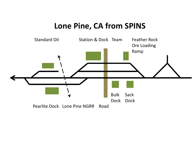#### **Lone Pine, CA from SPINS**

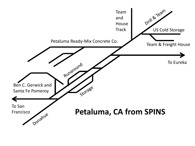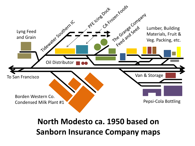

#### **North Modesto ca. 1950 based on Sanborn Insurance Company maps**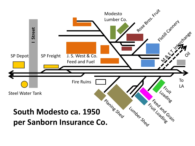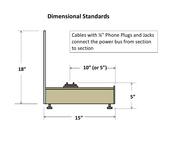#### **Dimensional Standards**